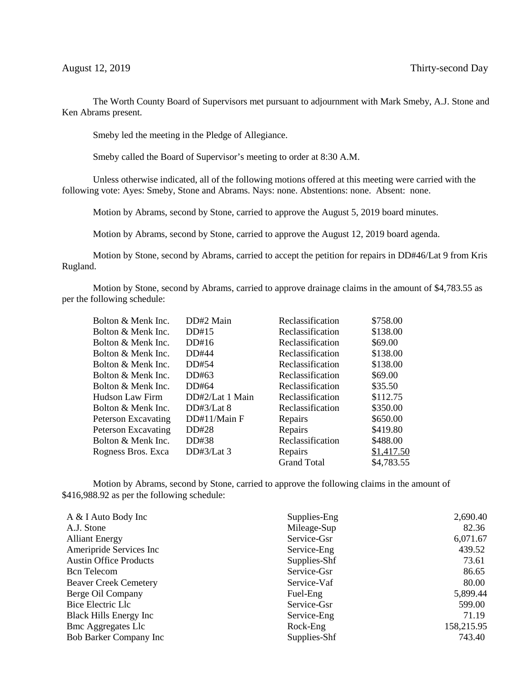The Worth County Board of Supervisors met pursuant to adjournment with Mark Smeby, A.J. Stone and Ken Abrams present.

Smeby led the meeting in the Pledge of Allegiance.

Smeby called the Board of Supervisor's meeting to order at 8:30 A.M.

Unless otherwise indicated, all of the following motions offered at this meeting were carried with the following vote: Ayes: Smeby, Stone and Abrams. Nays: none. Abstentions: none. Absent: none.

Motion by Abrams, second by Stone, carried to approve the August 5, 2019 board minutes.

Motion by Abrams, second by Stone, carried to approve the August 12, 2019 board agenda.

Motion by Stone, second by Abrams, carried to accept the petition for repairs in DD#46/Lat 9 from Kris Rugland.

Motion by Stone, second by Abrams, carried to approve drainage claims in the amount of \$4,783.55 as per the following schedule:

| Bolton & Menk Inc.         | DD#2 Main       | Reclassification   | \$758.00   |
|----------------------------|-----------------|--------------------|------------|
| Bolton & Menk Inc.         | DD#15           | Reclassification   | \$138.00   |
| Bolton & Menk Inc.         | DD#16           | Reclassification   | \$69.00    |
| Bolton & Menk Inc.         | DD#44           | Reclassification   | \$138.00   |
| Bolton & Menk Inc.         | DD#54           | Reclassification   | \$138.00   |
| Bolton & Menk Inc.         | DD#63           | Reclassification   | \$69.00    |
| Bolton & Menk Inc.         | DD#64           | Reclassification   | \$35.50    |
| Hudson Law Firm            | DD#2/Lat 1 Main | Reclassification   | \$112.75   |
| Bolton & Menk Inc.         | DD#3/Lat 8      | Reclassification   | \$350.00   |
| Peterson Excavating        | DD#11/Main F    | Repairs            | \$650.00   |
| <b>Peterson Excavating</b> | DD#28           | Repairs            | \$419.80   |
| Bolton & Menk Inc.         | DD#38           | Reclassification   | \$488.00   |
| Rogness Bros. Exca         | DD#3/Lat $3$    | Repairs            | \$1,417.50 |
|                            |                 | <b>Grand Total</b> | \$4,783.55 |

Motion by Abrams, second by Stone, carried to approve the following claims in the amount of \$416,988.92 as per the following schedule:

| A & I Auto Body Inc           | Supplies-Eng | 2,690.40   |
|-------------------------------|--------------|------------|
| A.J. Stone                    | Mileage-Sup  | 82.36      |
| <b>Alliant Energy</b>         | Service-Gsr  | 6,071.67   |
| Ameripride Services Inc       | Service-Eng  | 439.52     |
| <b>Austin Office Products</b> | Supplies-Shf | 73.61      |
| <b>B</b> cn Telecom           | Service-Gsr  | 86.65      |
| <b>Beaver Creek Cemetery</b>  | Service-Vaf  | 80.00      |
| Berge Oil Company             | Fuel-Eng     | 5,899.44   |
| Bice Electric Llc             | Service-Gsr  | 599.00     |
| Black Hills Energy Inc        | Service-Eng  | 71.19      |
| <b>Bmc Aggregates Llc</b>     | Rock-Eng     | 158,215.95 |
| <b>Bob Barker Company Inc</b> | Supplies-Shf | 743.40     |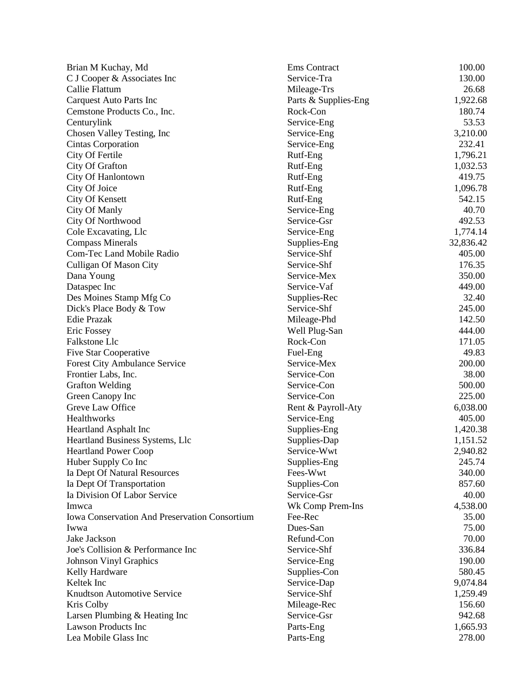| Brian M Kuchay, Md                                   | Ems Contract         | 100.00    |
|------------------------------------------------------|----------------------|-----------|
| C J Cooper & Associates Inc                          | Service-Tra          | 130.00    |
| Callie Flattum                                       | Mileage-Trs          | 26.68     |
| <b>Carquest Auto Parts Inc</b>                       | Parts & Supplies-Eng | 1,922.68  |
| Cemstone Products Co., Inc.                          | Rock-Con             | 180.74    |
| Centurylink                                          | Service-Eng          | 53.53     |
| Chosen Valley Testing, Inc.                          | Service-Eng          | 3,210.00  |
| Cintas Corporation                                   | Service-Eng          | 232.41    |
| City Of Fertile                                      | Rutf-Eng             | 1,796.21  |
| City Of Grafton                                      | Rutf-Eng             | 1,032.53  |
| City Of Hanlontown                                   | Rutf-Eng             | 419.75    |
| City Of Joice                                        | Rutf-Eng             | 1,096.78  |
| <b>City Of Kensett</b>                               | Rutf-Eng             | 542.15    |
| City Of Manly                                        | Service-Eng          | 40.70     |
| City Of Northwood                                    | Service-Gsr          | 492.53    |
| Cole Excavating, Llc                                 | Service-Eng          | 1,774.14  |
| <b>Compass Minerals</b>                              | Supplies-Eng         | 32,836.42 |
| Com-Tec Land Mobile Radio                            | Service-Shf          | 405.00    |
| <b>Culligan Of Mason City</b>                        | Service-Shf          | 176.35    |
| Dana Young                                           | Service-Mex          | 350.00    |
| Dataspec Inc                                         | Service-Vaf          | 449.00    |
| Des Moines Stamp Mfg Co                              | Supplies-Rec         | 32.40     |
| Dick's Place Body & Tow                              | Service-Shf          | 245.00    |
| Edie Prazak                                          | Mileage-Phd          | 142.50    |
| Eric Fossey                                          | Well Plug-San        | 444.00    |
| Falkstone Llc                                        | Rock-Con             | 171.05    |
| <b>Five Star Cooperative</b>                         | Fuel-Eng             | 49.83     |
| <b>Forest City Ambulance Service</b>                 | Service-Mex          | 200.00    |
| Frontier Labs, Inc.                                  | Service-Con          | 38.00     |
| <b>Grafton Welding</b>                               | Service-Con          | 500.00    |
| Green Canopy Inc                                     | Service-Con          | 225.00    |
| Greve Law Office                                     | Rent & Payroll-Aty   | 6,038.00  |
| Healthworks                                          | Service-Eng          | 405.00    |
| Heartland Asphalt Inc                                | Supplies-Eng         | 1,420.38  |
| Heartland Business Systems, Llc                      | Supplies-Dap         | 1,151.52  |
| <b>Heartland Power Coop</b>                          | Service-Wwt          | 2,940.82  |
| Huber Supply Co Inc                                  | Supplies-Eng         | 245.74    |
| Ia Dept Of Natural Resources                         | Fees-Wwt             | 340.00    |
| Ia Dept Of Transportation                            | Supplies-Con         | 857.60    |
| Ia Division Of Labor Service                         | Service-Gsr          | 40.00     |
| Imwca                                                | Wk Comp Prem-Ins     | 4,538.00  |
| <b>Iowa Conservation And Preservation Consortium</b> | Fee-Rec              | 35.00     |
| Iwwa                                                 | Dues-San             | 75.00     |
| Jake Jackson                                         | Refund-Con           | 70.00     |
| Joe's Collision & Performance Inc                    | Service-Shf          | 336.84    |
| <b>Johnson Vinyl Graphics</b>                        | Service-Eng          | 190.00    |
| Kelly Hardware                                       | Supplies-Con         | 580.45    |
| Keltek Inc                                           | Service-Dap          | 9,074.84  |
| Knudtson Automotive Service                          | Service-Shf          | 1,259.49  |
| Kris Colby                                           | Mileage-Rec          | 156.60    |
| Larsen Plumbing & Heating Inc                        | Service-Gsr          | 942.68    |
| <b>Lawson Products Inc</b>                           | Parts-Eng            | 1,665.93  |
| Lea Mobile Glass Inc                                 |                      |           |
|                                                      | Parts-Eng            | 278.00    |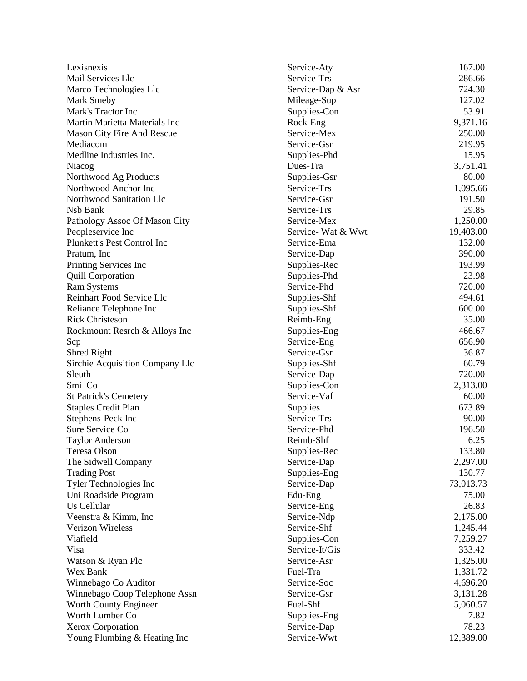| Lexisnexis                                | Service-Aty                 | 167.00    |
|-------------------------------------------|-----------------------------|-----------|
| Mail Services Llc                         | Service-Trs                 | 286.66    |
| Marco Technologies Llc                    | Service-Dap & Asr           | 724.30    |
| Mark Smeby                                | Mileage-Sup                 | 127.02    |
| Mark's Tractor Inc                        | Supplies-Con                | 53.91     |
| Martin Marietta Materials Inc             | Rock-Eng                    | 9,371.16  |
| Mason City Fire And Rescue                | Service-Mex                 | 250.00    |
| Mediacom                                  | Service-Gsr                 | 219.95    |
| Medline Industries Inc.                   | Supplies-Phd                | 15.95     |
| Niacog                                    | Dues-Tra                    | 3,751.41  |
| Northwood Ag Products                     | Supplies-Gsr                | 80.00     |
| Northwood Anchor Inc                      | Service-Trs                 | 1,095.66  |
| Northwood Sanitation Llc                  | Service-Gsr                 | 191.50    |
| Nsb Bank                                  | Service-Trs                 | 29.85     |
| Pathology Assoc Of Mason City             | Service-Mex                 | 1,250.00  |
| Peopleservice Inc                         | Service-Wat & Wwt           | 19,403.00 |
| Plunkett's Pest Control Inc               | Service-Ema                 | 132.00    |
| Pratum, Inc.                              | Service-Dap                 | 390.00    |
| Printing Services Inc                     | Supplies-Rec                | 193.99    |
| <b>Quill Corporation</b>                  | Supplies-Phd                | 23.98     |
| <b>Ram Systems</b>                        | Service-Phd                 | 720.00    |
| Reinhart Food Service Llc                 | Supplies-Shf                | 494.61    |
| Reliance Telephone Inc                    | Supplies-Shf                | 600.00    |
| <b>Rick Christeson</b>                    | Reimb-Eng                   | 35.00     |
| Rockmount Resrch & Alloys Inc             |                             | 466.67    |
| Scp                                       | Supplies-Eng<br>Service-Eng | 656.90    |
| Shred Right                               | Service-Gsr                 | 36.87     |
|                                           |                             | 60.79     |
| Sirchie Acquisition Company Llc<br>Sleuth | Supplies-Shf                | 720.00    |
|                                           | Service-Dap                 |           |
| Smi Co                                    | Supplies-Con<br>Service-Vaf | 2,313.00  |
| <b>St Patrick's Cemetery</b>              |                             | 60.00     |
| <b>Staples Credit Plan</b>                | Supplies                    | 673.89    |
| Stephens-Peck Inc                         | Service-Trs                 | 90.00     |
| Sure Service Co                           | Service-Phd                 | 196.50    |
| <b>Taylor Anderson</b>                    | Reimb-Shf                   | 6.25      |
| Teresa Olson                              | Supplies-Rec                | 133.80    |
| The Sidwell Company                       | Service-Dap                 | 2,297.00  |
| <b>Trading Post</b>                       | Supplies-Eng                | 130.77    |
| Tyler Technologies Inc                    | Service-Dap                 | 73,013.73 |
| Uni Roadside Program                      | Edu-Eng                     | 75.00     |
| Us Cellular                               | Service-Eng                 | 26.83     |
| Veenstra & Kimm, Inc.                     | Service-Ndp                 | 2,175.00  |
| <b>Verizon Wireless</b>                   | Service-Shf                 | 1,245.44  |
| Viafield                                  | Supplies-Con                | 7,259.27  |
| Visa                                      | Service-It/Gis              | 333.42    |
| Watson & Ryan Plc                         | Service-Asr                 | 1,325.00  |
| Wex Bank                                  | Fuel-Tra                    | 1,331.72  |
| Winnebago Co Auditor                      | Service-Soc                 | 4,696.20  |
| Winnebago Coop Telephone Assn             | Service-Gsr                 | 3,131.28  |
| Worth County Engineer                     | Fuel-Shf                    | 5,060.57  |
| Worth Lumber Co                           | Supplies-Eng                | 7.82      |
| Xerox Corporation                         | Service-Dap                 | 78.23     |
| Young Plumbing & Heating Inc              | Service-Wwt                 | 12,389.00 |